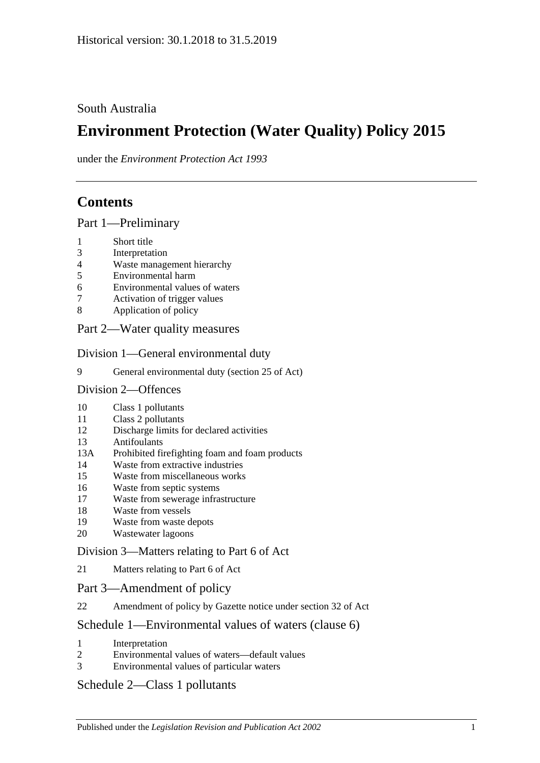### South Australia

# **Environment Protection (Water Quality) Policy 2015**

under the *Environment Protection Act 1993*

# **Contents**

#### Part [1—Preliminary](#page-1-0)

- [Short title](#page-1-1)
- [Interpretation](#page-1-2)
- [Waste management hierarchy](#page-5-0)
- [Environmental harm](#page-5-1)
- [Environmental values of waters](#page-5-2)
- [Activation of trigger values](#page-6-0)
- [Application of policy](#page-7-0)

### Part [2—Water quality measures](#page-8-0)

#### Division [1—General environmental duty](#page-8-1)

[General environmental duty \(section 25 of Act\)](#page-8-2)

#### Division [2—Offences](#page-8-3)

- [Class 1 pollutants](#page-8-4)
- [Class 2 pollutants](#page-9-0)
- [Discharge limits for declared activities](#page-9-1)
- [Antifoulants](#page-10-0)
- 13A [Prohibited firefighting foam and foam products](#page-10-1)
- [Waste from extractive industries](#page-12-0)
- [Waste from miscellaneous works](#page-12-1)
- [Waste from septic systems](#page-13-0)
- [Waste from sewerage infrastructure](#page-14-0)
- [Waste from vessels](#page-14-1)
- [Waste from waste depots](#page-17-0)
- [Wastewater lagoons](#page-17-1)

### Division [3—Matters relating to Part](#page-17-2) 6 of Act

[Matters relating to Part](#page-17-3) 6 of Act

#### Part [3—Amendment of policy](#page-18-0)

[Amendment of policy by Gazette notice under section](#page-18-1) 32 of Act

#### Schedule [1—Environmental values of waters \(clause](#page-19-0) 6)

- [Interpretation](#page-19-1)
- [Environmental values of waters—default values](#page-19-2)
- [Environmental values of particular waters](#page-20-0)

### Schedule [2—Class 1 pollutants](#page-20-1)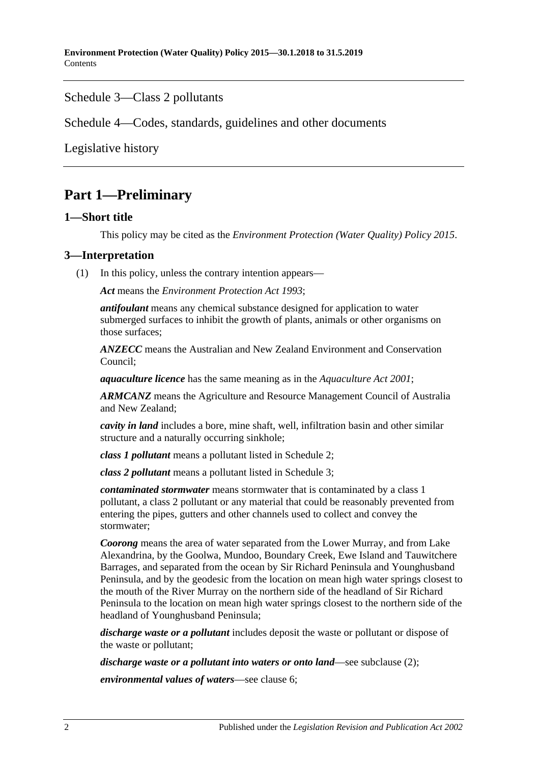### Schedule [3—Class 2 pollutants](#page-22-0)

Schedule [4—Codes, standards, guidelines and other documents](#page-22-1)

[Legislative history](#page-24-0)

# <span id="page-1-0"></span>**Part 1—Preliminary**

#### <span id="page-1-1"></span>**1—Short title**

This policy may be cited as the *[Environment Protection \(Water Quality\) Policy](http://www.legislation.sa.gov.au/index.aspx?action=legref&type=subordleg&legtitle=Environment%20Protection%20(Water%20Quality)%20Policy%202015) 2015*.

#### <span id="page-1-2"></span>**3—Interpretation**

(1) In this policy, unless the contrary intention appears—

*Act* means the *[Environment Protection Act](http://www.legislation.sa.gov.au/index.aspx?action=legref&type=act&legtitle=Environment%20Protection%20Act%201993) 1993*;

*antifoulant* means any chemical substance designed for application to water submerged surfaces to inhibit the growth of plants, animals or other organisms on those surfaces;

*ANZECC* means the Australian and New Zealand Environment and Conservation Council;

*aquaculture licence* has the same meaning as in the *[Aquaculture Act](http://www.legislation.sa.gov.au/index.aspx?action=legref&type=act&legtitle=Aquaculture%20Act%202001) 2001*;

*ARMCANZ* means the Agriculture and Resource Management Council of Australia and New Zealand;

*cavity in land* includes a bore, mine shaft, well, infiltration basin and other similar structure and a naturally occurring sinkhole;

*class 1 pollutant* means a pollutant listed in [Schedule](#page-20-1) 2;

*class 2 pollutant* means a pollutant listed in [Schedule](#page-22-0) 3;

*contaminated stormwater* means stormwater that is contaminated by a class 1 pollutant, a class 2 pollutant or any material that could be reasonably prevented from entering the pipes, gutters and other channels used to collect and convey the stormwater;

*Coorong* means the area of water separated from the Lower Murray, and from Lake Alexandrina, by the Goolwa, Mundoo, Boundary Creek, Ewe Island and Tauwitchere Barrages, and separated from the ocean by Sir Richard Peninsula and Younghusband Peninsula, and by the geodesic from the location on mean high water springs closest to the mouth of the River Murray on the northern side of the headland of Sir Richard Peninsula to the location on mean high water springs closest to the northern side of the headland of Younghusband Peninsula;

*discharge waste or a pollutant* includes deposit the waste or pollutant or dispose of the waste or pollutant;

*discharge waste or a pollutant into waters or onto land—see [subclause](#page-4-0) (2):* 

*environmental values of waters*—see [clause](#page-5-2) 6;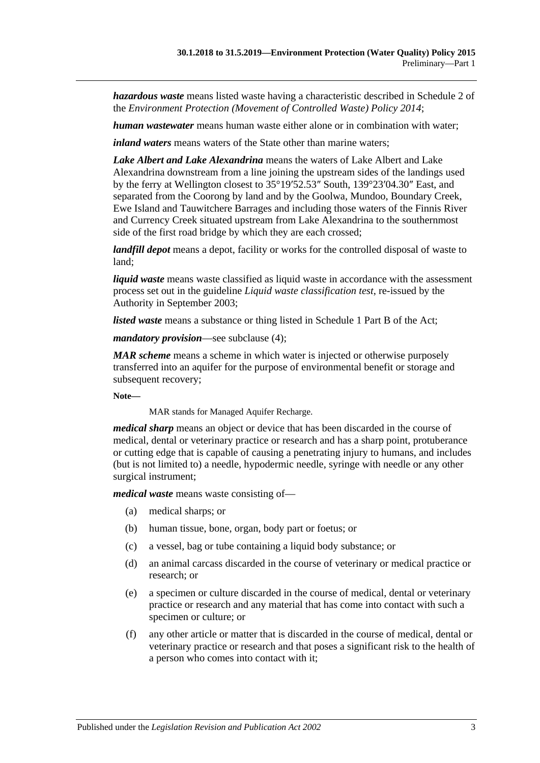*hazardous waste* means listed waste having a characteristic described in Schedule 2 of the *[Environment Protection \(Movement of Controlled Waste\) Policy](http://www.legislation.sa.gov.au/index.aspx?action=legref&type=subordleg&legtitle=Environment%20Protection%20(Movement%20of%20Controlled%20Waste)%20Policy%202014) 2014*;

*human wastewater* means human waste either alone or in combination with water;

*inland waters* means waters of the State other than marine waters;

*Lake Albert and Lake Alexandrina* means the waters of Lake Albert and Lake Alexandrina downstream from a line joining the upstream sides of the landings used by the ferry at Wellington closest to 35°19′52.53″ South, 139°23′04.30″ East, and separated from the Coorong by land and by the Goolwa, Mundoo, Boundary Creek, Ewe Island and Tauwitchere Barrages and including those waters of the Finnis River and Currency Creek situated upstream from Lake Alexandrina to the southernmost side of the first road bridge by which they are each crossed;

*landfill depot* means a depot, facility or works for the controlled disposal of waste to land;

*liquid waste* means waste classified as liquid waste in accordance with the assessment process set out in the guideline *Liquid waste classification test*, re-issued by the Authority in September 2003;

*listed waste* means a substance or thing listed in Schedule 1 Part B of the Act;

*mandatory provision*—see [subclause](#page-4-1) (4);

*MAR scheme* means a scheme in which water is injected or otherwise purposely transferred into an aquifer for the purpose of environmental benefit or storage and subsequent recovery;

**Note—**

MAR stands for Managed Aquifer Recharge.

*medical sharp* means an object or device that has been discarded in the course of medical, dental or veterinary practice or research and has a sharp point, protuberance or cutting edge that is capable of causing a penetrating injury to humans, and includes (but is not limited to) a needle, hypodermic needle, syringe with needle or any other surgical instrument;

*medical waste* means waste consisting of—

- (a) medical sharps; or
- (b) human tissue, bone, organ, body part or foetus; or
- (c) a vessel, bag or tube containing a liquid body substance; or
- (d) an animal carcass discarded in the course of veterinary or medical practice or research; or
- (e) a specimen or culture discarded in the course of medical, dental or veterinary practice or research and any material that has come into contact with such a specimen or culture; or
- (f) any other article or matter that is discarded in the course of medical, dental or veterinary practice or research and that poses a significant risk to the health of a person who comes into contact with it;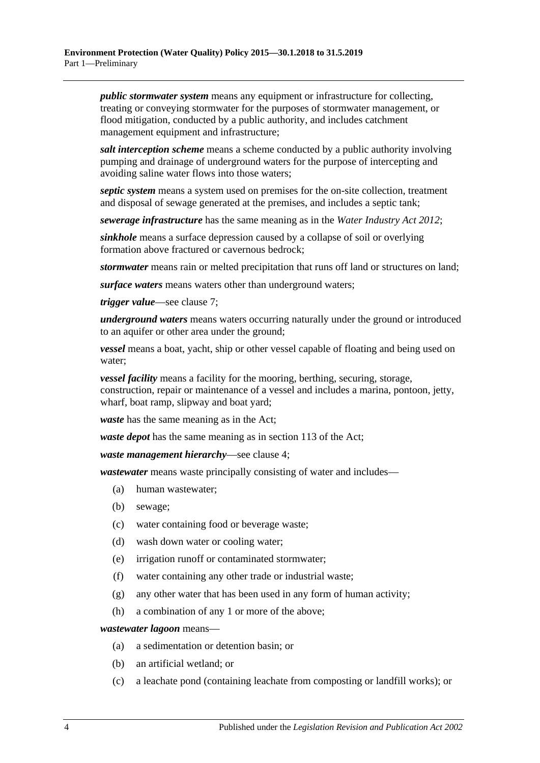*public stormwater system* means any equipment or infrastructure for collecting, treating or conveying stormwater for the purposes of stormwater management, or flood mitigation, conducted by a public authority, and includes catchment management equipment and infrastructure;

*salt interception scheme* means a scheme conducted by a public authority involving pumping and drainage of underground waters for the purpose of intercepting and avoiding saline water flows into those waters;

*septic system* means a system used on premises for the on-site collection, treatment and disposal of sewage generated at the premises, and includes a septic tank;

*sewerage infrastructure* has the same meaning as in the *[Water Industry Act](http://www.legislation.sa.gov.au/index.aspx?action=legref&type=act&legtitle=Water%20Industry%20Act%202012) 2012*;

*sinkhole* means a surface depression caused by a collapse of soil or overlying formation above fractured or cavernous bedrock;

*stormwater* means rain or melted precipitation that runs off land or structures on land;

*surface waters* means waters other than underground waters;

*trigger value*—see [clause](#page-6-0) 7;

*underground waters* means waters occurring naturally under the ground or introduced to an aquifer or other area under the ground;

*vessel* means a boat, yacht, ship or other vessel capable of floating and being used on water;

*vessel facility* means a facility for the mooring, berthing, securing, storage, construction, repair or maintenance of a vessel and includes a marina, pontoon, jetty, wharf, boat ramp, slipway and boat yard;

*waste* has the same meaning as in the Act;

*waste depot* has the same meaning as in section 113 of the Act;

*waste management hierarchy*—see [clause](#page-5-0) 4;

*wastewater* means waste principally consisting of water and includes—

- (a) human wastewater;
- (b) sewage;
- (c) water containing food or beverage waste;
- (d) wash down water or cooling water;
- (e) irrigation runoff or contaminated stormwater;
- (f) water containing any other trade or industrial waste;
- (g) any other water that has been used in any form of human activity;
- (h) a combination of any 1 or more of the above;

#### *wastewater lagoon* means—

- (a) a sedimentation or detention basin; or
- (b) an artificial wetland; or
- (c) a leachate pond (containing leachate from composting or landfill works); or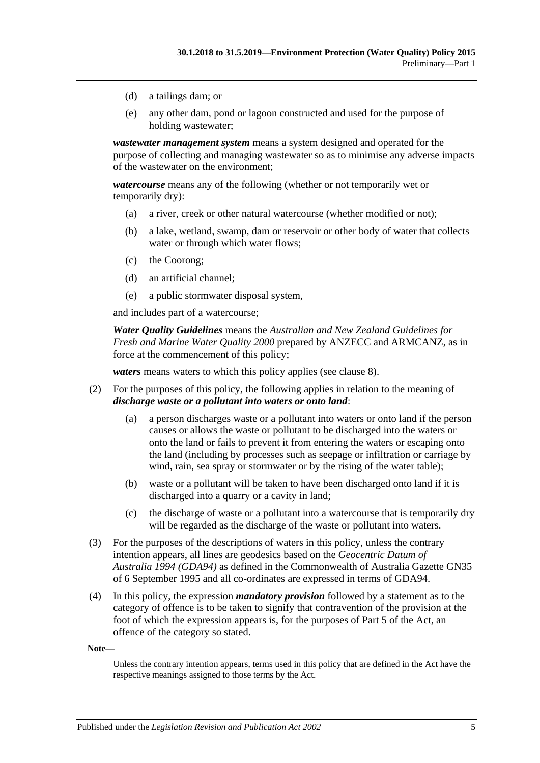- (d) a tailings dam; or
- (e) any other dam, pond or lagoon constructed and used for the purpose of holding wastewater;

*wastewater management system* means a system designed and operated for the purpose of collecting and managing wastewater so as to minimise any adverse impacts of the wastewater on the environment;

*watercourse* means any of the following (whether or not temporarily wet or temporarily dry):

- (a) a river, creek or other natural watercourse (whether modified or not);
- (b) a lake, wetland, swamp, dam or reservoir or other body of water that collects water or through which water flows;
- (c) the Coorong;
- (d) an artificial channel;
- (e) a public stormwater disposal system,

and includes part of a watercourse;

*Water Quality Guidelines* means the *Australian and New Zealand Guidelines for Fresh and Marine Water Quality 2000* prepared by ANZECC and ARMCANZ, as in force at the commencement of this policy;

*waters* means waters to which this policy applies (see [clause](#page-7-0) 8).

- <span id="page-4-0"></span>(2) For the purposes of this policy, the following applies in relation to the meaning of *discharge waste or a pollutant into waters or onto land*:
	- (a) a person discharges waste or a pollutant into waters or onto land if the person causes or allows the waste or pollutant to be discharged into the waters or onto the land or fails to prevent it from entering the waters or escaping onto the land (including by processes such as seepage or infiltration or carriage by wind, rain, sea spray or stormwater or by the rising of the water table);
	- (b) waste or a pollutant will be taken to have been discharged onto land if it is discharged into a quarry or a cavity in land;
	- (c) the discharge of waste or a pollutant into a watercourse that is temporarily dry will be regarded as the discharge of the waste or pollutant into waters.
- (3) For the purposes of the descriptions of waters in this policy, unless the contrary intention appears, all lines are geodesics based on the *Geocentric Datum of Australia 1994 (GDA94)* as defined in the Commonwealth of Australia Gazette GN35 of 6 September 1995 and all co-ordinates are expressed in terms of GDA94.
- <span id="page-4-1"></span>(4) In this policy, the expression *mandatory provision* followed by a statement as to the category of offence is to be taken to signify that contravention of the provision at the foot of which the expression appears is, for the purposes of Part 5 of the Act, an offence of the category so stated.

**Note—**

Unless the contrary intention appears, terms used in this policy that are defined in the Act have the respective meanings assigned to those terms by the Act.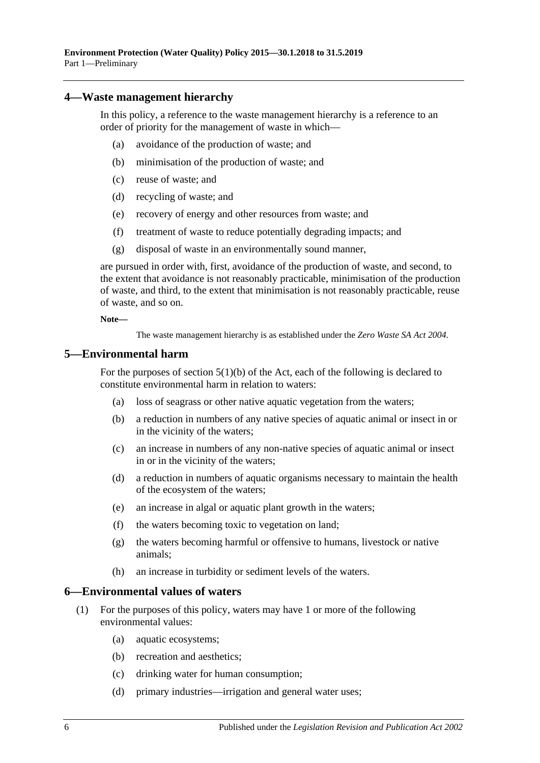#### <span id="page-5-0"></span>**4—Waste management hierarchy**

In this policy, a reference to the waste management hierarchy is a reference to an order of priority for the management of waste in which—

- (a) avoidance of the production of waste; and
- (b) minimisation of the production of waste; and
- (c) reuse of waste; and
- (d) recycling of waste; and
- (e) recovery of energy and other resources from waste; and
- (f) treatment of waste to reduce potentially degrading impacts; and
- (g) disposal of waste in an environmentally sound manner,

are pursued in order with, first, avoidance of the production of waste, and second, to the extent that avoidance is not reasonably practicable, minimisation of the production of waste, and third, to the extent that minimisation is not reasonably practicable, reuse of waste, and so on.

**Note—**

The waste management hierarchy is as established under the *[Zero Waste SA Act](http://www.legislation.sa.gov.au/index.aspx?action=legref&type=act&legtitle=Zero%20Waste%20SA%20Act%202004) 2004*.

#### <span id="page-5-1"></span>**5—Environmental harm**

For the purposes of section  $5(1)(b)$  of the Act, each of the following is declared to constitute environmental harm in relation to waters:

- (a) loss of seagrass or other native aquatic vegetation from the waters;
- (b) a reduction in numbers of any native species of aquatic animal or insect in or in the vicinity of the waters;
- (c) an increase in numbers of any non-native species of aquatic animal or insect in or in the vicinity of the waters;
- (d) a reduction in numbers of aquatic organisms necessary to maintain the health of the ecosystem of the waters;
- (e) an increase in algal or aquatic plant growth in the waters;
- (f) the waters becoming toxic to vegetation on land;
- (g) the waters becoming harmful or offensive to humans, livestock or native animals;
- (h) an increase in turbidity or sediment levels of the waters.

#### <span id="page-5-2"></span>**6—Environmental values of waters**

- (1) For the purposes of this policy, waters may have 1 or more of the following environmental values:
	- (a) aquatic ecosystems;
	- (b) recreation and aesthetics;
	- (c) drinking water for human consumption;
	- (d) primary industries—irrigation and general water uses;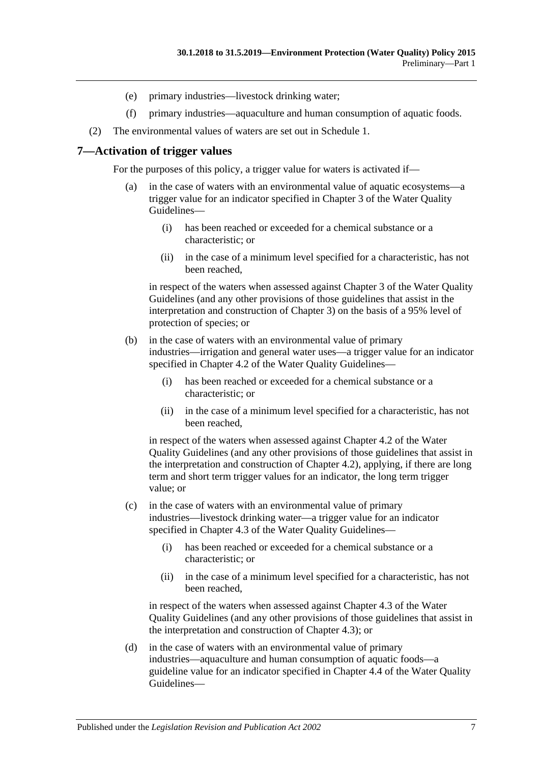- (e) primary industries—livestock drinking water;
- (f) primary industries—aquaculture and human consumption of aquatic foods.
- (2) The environmental values of waters are set out in [Schedule](#page-19-0) 1.

#### <span id="page-6-0"></span>**7—Activation of trigger values**

For the purposes of this policy, a trigger value for waters is activated if—

- (a) in the case of waters with an environmental value of aquatic ecosystems—a trigger value for an indicator specified in Chapter 3 of the Water Quality Guidelines—
	- (i) has been reached or exceeded for a chemical substance or a characteristic; or
	- (ii) in the case of a minimum level specified for a characteristic, has not been reached,

in respect of the waters when assessed against Chapter 3 of the Water Quality Guidelines (and any other provisions of those guidelines that assist in the interpretation and construction of Chapter 3) on the basis of a 95% level of protection of species; or

- (b) in the case of waters with an environmental value of primary industries—irrigation and general water uses—a trigger value for an indicator specified in Chapter 4.2 of the Water Quality Guidelines—
	- (i) has been reached or exceeded for a chemical substance or a characteristic; or
	- (ii) in the case of a minimum level specified for a characteristic, has not been reached,

in respect of the waters when assessed against Chapter 4.2 of the Water Quality Guidelines (and any other provisions of those guidelines that assist in the interpretation and construction of Chapter 4.2), applying, if there are long term and short term trigger values for an indicator, the long term trigger value; or

- (c) in the case of waters with an environmental value of primary industries—livestock drinking water—a trigger value for an indicator specified in Chapter 4.3 of the Water Quality Guidelines—
	- (i) has been reached or exceeded for a chemical substance or a characteristic; or
	- (ii) in the case of a minimum level specified for a characteristic, has not been reached,

in respect of the waters when assessed against Chapter 4.3 of the Water Quality Guidelines (and any other provisions of those guidelines that assist in the interpretation and construction of Chapter 4.3); or

(d) in the case of waters with an environmental value of primary industries—aquaculture and human consumption of aquatic foods—a guideline value for an indicator specified in Chapter 4.4 of the Water Quality Guidelines—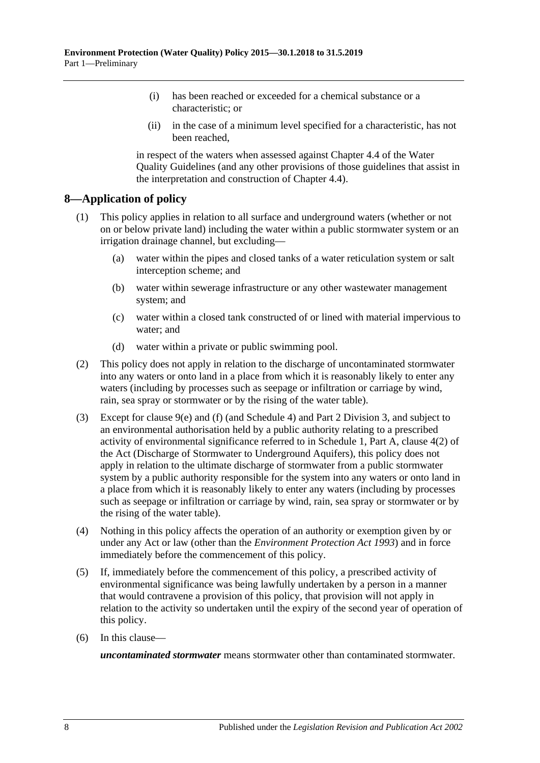- (i) has been reached or exceeded for a chemical substance or a characteristic; or
- (ii) in the case of a minimum level specified for a characteristic, has not been reached,

in respect of the waters when assessed against Chapter 4.4 of the Water Quality Guidelines (and any other provisions of those guidelines that assist in the interpretation and construction of Chapter 4.4).

### <span id="page-7-0"></span>**8—Application of policy**

- (1) This policy applies in relation to all surface and underground waters (whether or not on or below private land) including the water within a public stormwater system or an irrigation drainage channel, but excluding—
	- (a) water within the pipes and closed tanks of a water reticulation system or salt interception scheme; and
	- (b) water within sewerage infrastructure or any other wastewater management system; and
	- (c) water within a closed tank constructed of or lined with material impervious to water; and
	- (d) water within a private or public swimming pool.
- (2) This policy does not apply in relation to the discharge of uncontaminated stormwater into any waters or onto land in a place from which it is reasonably likely to enter any waters (including by processes such as seepage or infiltration or carriage by wind, rain, sea spray or stormwater or by the rising of the water table).
- (3) Except for [clause](#page-8-5) 9(e) and [\(f\)](#page-8-6) (and [Schedule](#page-22-1) 4) and Part [2 Division](#page-17-2) 3, and subject to an environmental authorisation held by a public authority relating to a prescribed activity of environmental significance referred to in Schedule 1, Part A, clause 4(2) of the Act (Discharge of Stormwater to Underground Aquifers), this policy does not apply in relation to the ultimate discharge of stormwater from a public stormwater system by a public authority responsible for the system into any waters or onto land in a place from which it is reasonably likely to enter any waters (including by processes such as seepage or infiltration or carriage by wind, rain, sea spray or stormwater or by the rising of the water table).
- (4) Nothing in this policy affects the operation of an authority or exemption given by or under any Act or law (other than the *[Environment Protection Act](http://www.legislation.sa.gov.au/index.aspx?action=legref&type=act&legtitle=Environment%20Protection%20Act%201993) 1993*) and in force immediately before the commencement of this policy.
- (5) If, immediately before the commencement of this policy, a prescribed activity of environmental significance was being lawfully undertaken by a person in a manner that would contravene a provision of this policy, that provision will not apply in relation to the activity so undertaken until the expiry of the second year of operation of this policy.
- (6) In this clause—

*uncontaminated stormwater* means stormwater other than contaminated stormwater.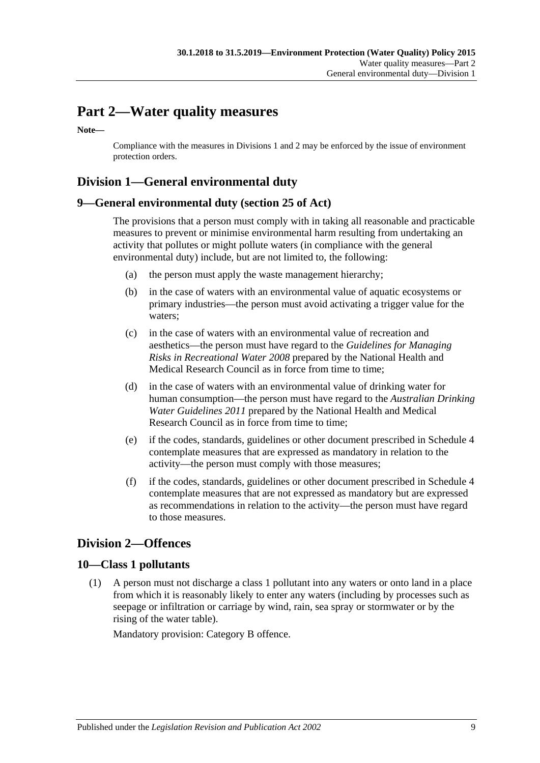# <span id="page-8-0"></span>**Part 2—Water quality measures**

**Note—**

Compliance with the measures i[n Divisions](#page-8-1) 1 and 2 may be enforced by the issue of environment protection orders.

# <span id="page-8-1"></span>**Division 1—General environmental duty**

#### <span id="page-8-2"></span>**9—General environmental duty (section 25 of Act)**

The provisions that a person must comply with in taking all reasonable and practicable measures to prevent or minimise environmental harm resulting from undertaking an activity that pollutes or might pollute waters (in compliance with the general environmental duty) include, but are not limited to, the following:

- (a) the person must apply the waste management hierarchy;
- (b) in the case of waters with an environmental value of aquatic ecosystems or primary industries—the person must avoid activating a trigger value for the waters;
- (c) in the case of waters with an environmental value of recreation and aesthetics—the person must have regard to the *Guidelines for Managing Risks in Recreational Water 2008* prepared by the National Health and Medical Research Council as in force from time to time;
- (d) in the case of waters with an environmental value of drinking water for human consumption—the person must have regard to the *Australian Drinking Water Guidelines 2011* prepared by the National Health and Medical Research Council as in force from time to time;
- <span id="page-8-5"></span>(e) if the codes, standards, guidelines or other document prescribed in [Schedule](#page-22-1) 4 contemplate measures that are expressed as mandatory in relation to the activity—the person must comply with those measures;
- <span id="page-8-6"></span>(f) if the codes, standards, guidelines or other document prescribed in [Schedule](#page-22-1) 4 contemplate measures that are not expressed as mandatory but are expressed as recommendations in relation to the activity—the person must have regard to those measures.

### <span id="page-8-3"></span>**Division 2—Offences**

#### <span id="page-8-7"></span><span id="page-8-4"></span>**10—Class 1 pollutants**

(1) A person must not discharge a class 1 pollutant into any waters or onto land in a place from which it is reasonably likely to enter any waters (including by processes such as seepage or infiltration or carriage by wind, rain, sea spray or stormwater or by the rising of the water table).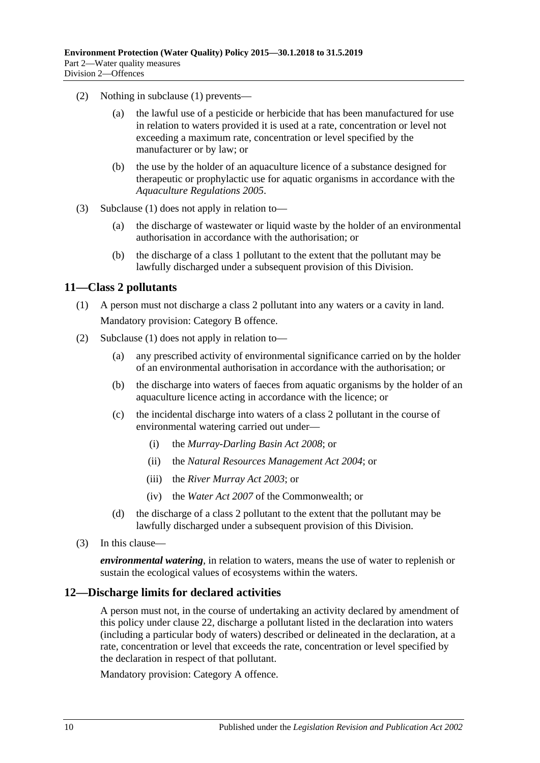- (2) Nothing in [subclause](#page-8-7) (1) prevents—
	- (a) the lawful use of a pesticide or herbicide that has been manufactured for use in relation to waters provided it is used at a rate, concentration or level not exceeding a maximum rate, concentration or level specified by the manufacturer or by law; or
	- (b) the use by the holder of an aquaculture licence of a substance designed for therapeutic or prophylactic use for aquatic organisms in accordance with the *[Aquaculture Regulations](http://www.legislation.sa.gov.au/index.aspx?action=legref&type=subordleg&legtitle=Aquaculture%20Regulations%202005) 2005*.
- (3) [Subclause](#page-8-7) (1) does not apply in relation to—
	- (a) the discharge of wastewater or liquid waste by the holder of an environmental authorisation in accordance with the authorisation; or
	- (b) the discharge of a class 1 pollutant to the extent that the pollutant may be lawfully discharged under a subsequent provision of this Division.

#### <span id="page-9-2"></span><span id="page-9-0"></span>**11—Class 2 pollutants**

- (1) A person must not discharge a class 2 pollutant into any waters or a cavity in land. Mandatory provision: Category B offence.
- (2) [Subclause](#page-9-2) (1) does not apply in relation to—
	- (a) any prescribed activity of environmental significance carried on by the holder of an environmental authorisation in accordance with the authorisation; or
	- (b) the discharge into waters of faeces from aquatic organisms by the holder of an aquaculture licence acting in accordance with the licence; or
	- (c) the incidental discharge into waters of a class 2 pollutant in the course of environmental watering carried out under—
		- (i) the *[Murray-Darling Basin Act](http://www.legislation.sa.gov.au/index.aspx?action=legref&type=act&legtitle=Murray-Darling%20Basin%20Act%202008) 2008*; or
		- (ii) the *[Natural Resources Management Act](http://www.legislation.sa.gov.au/index.aspx?action=legref&type=act&legtitle=Natural%20Resources%20Management%20Act%202004) 2004*; or
		- (iii) the *[River Murray Act](http://www.legislation.sa.gov.au/index.aspx?action=legref&type=act&legtitle=River%20Murray%20Act%202003) 2003*; or
		- (iv) the *Water Act 2007* of the Commonwealth; or
	- (d) the discharge of a class 2 pollutant to the extent that the pollutant may be lawfully discharged under a subsequent provision of this Division.
- (3) In this clause—

*environmental watering*, in relation to waters, means the use of water to replenish or sustain the ecological values of ecosystems within the waters.

#### <span id="page-9-1"></span>**12—Discharge limits for declared activities**

A person must not, in the course of undertaking an activity declared by amendment of this policy under [clause](#page-18-1) 22, discharge a pollutant listed in the declaration into waters (including a particular body of waters) described or delineated in the declaration, at a rate, concentration or level that exceeds the rate, concentration or level specified by the declaration in respect of that pollutant.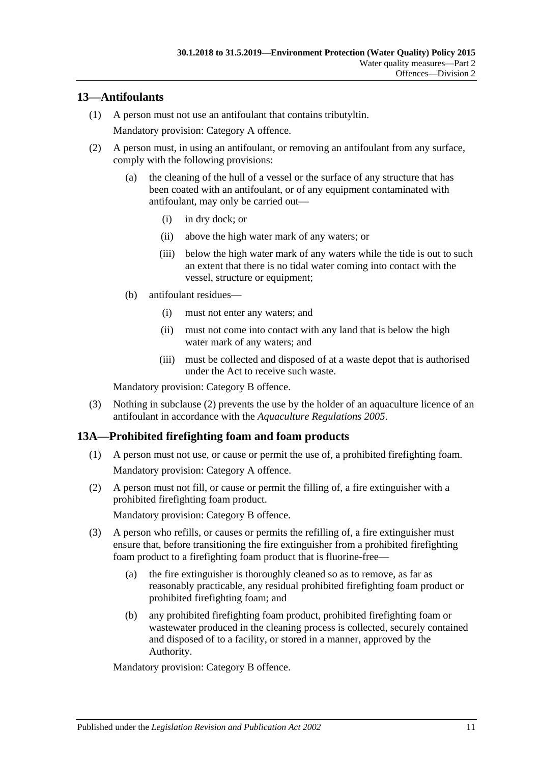### <span id="page-10-0"></span>**13—Antifoulants**

- (1) A person must not use an antifoulant that contains tributyltin. Mandatory provision: Category A offence.
- <span id="page-10-2"></span>(2) A person must, in using an antifoulant, or removing an antifoulant from any surface, comply with the following provisions:
	- (a) the cleaning of the hull of a vessel or the surface of any structure that has been coated with an antifoulant, or of any equipment contaminated with antifoulant, may only be carried out—
		- (i) in dry dock; or
		- (ii) above the high water mark of any waters; or
		- (iii) below the high water mark of any waters while the tide is out to such an extent that there is no tidal water coming into contact with the vessel, structure or equipment;
	- (b) antifoulant residues—
		- (i) must not enter any waters; and
		- (ii) must not come into contact with any land that is below the high water mark of any waters; and
		- (iii) must be collected and disposed of at a waste depot that is authorised under the Act to receive such waste.

Mandatory provision: Category B offence.

(3) Nothing in [subclause](#page-10-2) (2) prevents the use by the holder of an aquaculture licence of an antifoulant in accordance with the *[Aquaculture Regulations](http://www.legislation.sa.gov.au/index.aspx?action=legref&type=subordleg&legtitle=Aquaculture%20Regulations%202005) 2005*.

#### <span id="page-10-3"></span><span id="page-10-1"></span>**13A—Prohibited firefighting foam and foam products**

- (1) A person must not use, or cause or permit the use of, a prohibited firefighting foam. Mandatory provision: Category A offence.
- <span id="page-10-4"></span>(2) A person must not fill, or cause or permit the filling of, a fire extinguisher with a prohibited firefighting foam product.

Mandatory provision: Category B offence.

- (3) A person who refills, or causes or permits the refilling of, a fire extinguisher must ensure that, before transitioning the fire extinguisher from a prohibited firefighting foam product to a firefighting foam product that is fluorine-free—
	- (a) the fire extinguisher is thoroughly cleaned so as to remove, as far as reasonably practicable, any residual prohibited firefighting foam product or prohibited firefighting foam; and
	- (b) any prohibited firefighting foam product, prohibited firefighting foam or wastewater produced in the cleaning process is collected, securely contained and disposed of to a facility, or stored in a manner, approved by the Authority.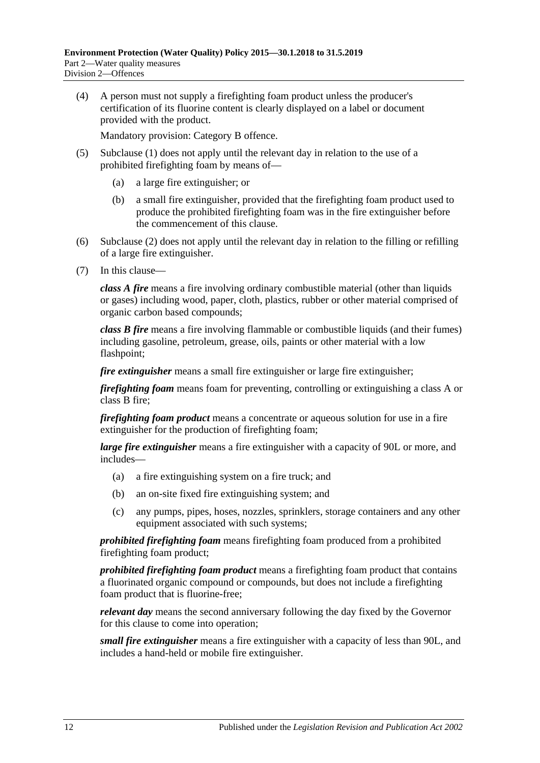(4) A person must not supply a firefighting foam product unless the producer's certification of its fluorine content is clearly displayed on a label or document provided with the product.

Mandatory provision: Category B offence.

- (5) [Subclause](#page-10-3) (1) does not apply until the relevant day in relation to the use of a prohibited firefighting foam by means of—
	- (a) a large fire extinguisher; or
	- (b) a small fire extinguisher, provided that the firefighting foam product used to produce the prohibited firefighting foam was in the fire extinguisher before the commencement of this clause.
- (6) [Subclause](#page-10-4) (2) does not apply until the relevant day in relation to the filling or refilling of a large fire extinguisher.
- (7) In this clause—

*class A fire* means a fire involving ordinary combustible material (other than liquids or gases) including wood, paper, cloth, plastics, rubber or other material comprised of organic carbon based compounds;

*class B fire* means a fire involving flammable or combustible liquids (and their fumes) including gasoline, petroleum, grease, oils, paints or other material with a low flashpoint;

*fire extinguisher* means a small fire extinguisher or large fire extinguisher;

*firefighting foam* means foam for preventing, controlling or extinguishing a class A or class B fire;

*firefighting foam product* means a concentrate or aqueous solution for use in a fire extinguisher for the production of firefighting foam;

*large fire extinguisher* means a fire extinguisher with a capacity of 90L or more, and includes—

- (a) a fire extinguishing system on a fire truck; and
- (b) an on-site fixed fire extinguishing system; and
- (c) any pumps, pipes, hoses, nozzles, sprinklers, storage containers and any other equipment associated with such systems;

*prohibited firefighting foam* means firefighting foam produced from a prohibited firefighting foam product;

*prohibited firefighting foam product* means a firefighting foam product that contains a fluorinated organic compound or compounds, but does not include a firefighting foam product that is fluorine-free;

*relevant day* means the second anniversary following the day fixed by the Governor for this clause to come into operation;

*small fire extinguisher* means a fire extinguisher with a capacity of less than 90L, and includes a hand-held or mobile fire extinguisher.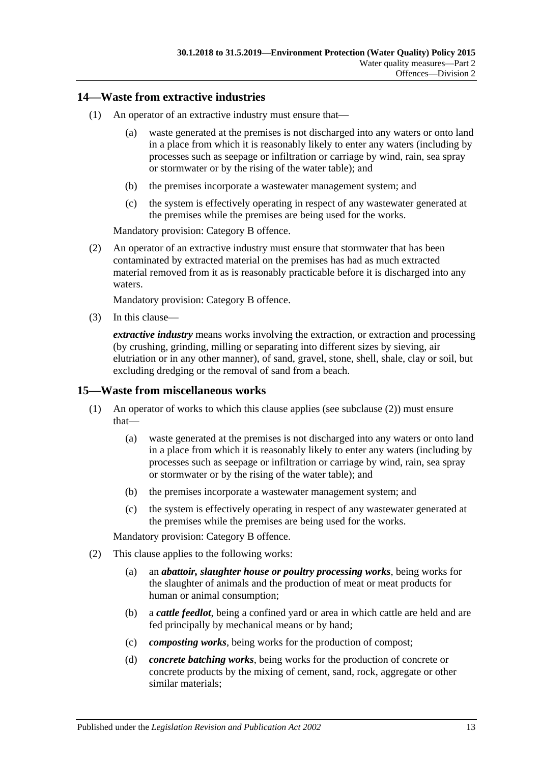#### <span id="page-12-0"></span>**14—Waste from extractive industries**

- (1) An operator of an extractive industry must ensure that—
	- (a) waste generated at the premises is not discharged into any waters or onto land in a place from which it is reasonably likely to enter any waters (including by processes such as seepage or infiltration or carriage by wind, rain, sea spray or stormwater or by the rising of the water table); and
	- (b) the premises incorporate a wastewater management system; and
	- (c) the system is effectively operating in respect of any wastewater generated at the premises while the premises are being used for the works.

Mandatory provision: Category B offence.

(2) An operator of an extractive industry must ensure that stormwater that has been contaminated by extracted material on the premises has had as much extracted material removed from it as is reasonably practicable before it is discharged into any waters.

Mandatory provision: Category B offence.

(3) In this clause—

*extractive industry* means works involving the extraction, or extraction and processing (by crushing, grinding, milling or separating into different sizes by sieving, air elutriation or in any other manner), of sand, gravel, stone, shell, shale, clay or soil, but excluding dredging or the removal of sand from a beach.

#### <span id="page-12-1"></span>**15—Waste from miscellaneous works**

- (1) An operator of works to which this clause applies (see [subclause](#page-12-2) (2)) must ensure that—
	- (a) waste generated at the premises is not discharged into any waters or onto land in a place from which it is reasonably likely to enter any waters (including by processes such as seepage or infiltration or carriage by wind, rain, sea spray or stormwater or by the rising of the water table); and
	- (b) the premises incorporate a wastewater management system; and
	- (c) the system is effectively operating in respect of any wastewater generated at the premises while the premises are being used for the works.

- <span id="page-12-2"></span>(2) This clause applies to the following works:
	- (a) an *abattoir, slaughter house or poultry processing works*, being works for the slaughter of animals and the production of meat or meat products for human or animal consumption;
	- (b) a *cattle feedlot*, being a confined yard or area in which cattle are held and are fed principally by mechanical means or by hand;
	- (c) *composting works*, being works for the production of compost;
	- (d) *concrete batching works*, being works for the production of concrete or concrete products by the mixing of cement, sand, rock, aggregate or other similar materials;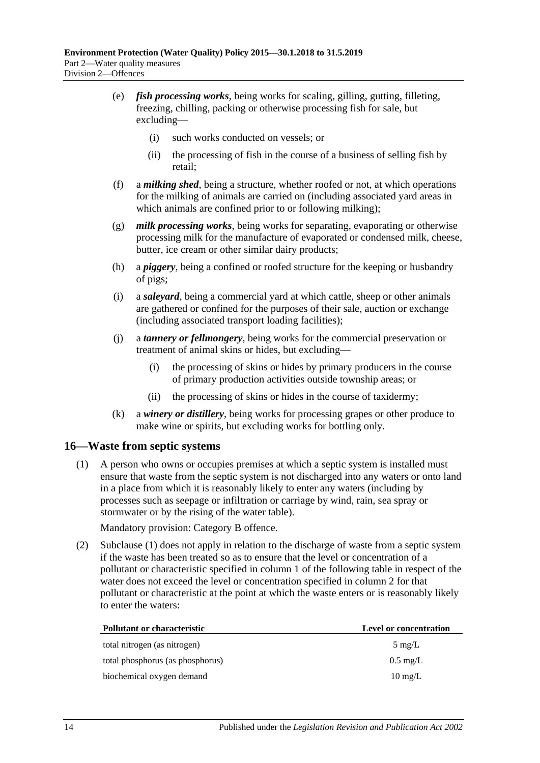- (e) *fish processing works*, being works for scaling, gilling, gutting, filleting, freezing, chilling, packing or otherwise processing fish for sale, but excluding—
	- (i) such works conducted on vessels; or
	- (ii) the processing of fish in the course of a business of selling fish by retail;
- (f) a *milking shed*, being a structure, whether roofed or not, at which operations for the milking of animals are carried on (including associated yard areas in which animals are confined prior to or following milking);
- (g) *milk processing works*, being works for separating, evaporating or otherwise processing milk for the manufacture of evaporated or condensed milk, cheese, butter, ice cream or other similar dairy products;
- (h) a *piggery*, being a confined or roofed structure for the keeping or husbandry of pigs;
- (i) a *saleyard*, being a commercial yard at which cattle, sheep or other animals are gathered or confined for the purposes of their sale, auction or exchange (including associated transport loading facilities);
- (j) a *tannery or fellmongery*, being works for the commercial preservation or treatment of animal skins or hides, but excluding—
	- (i) the processing of skins or hides by primary producers in the course of primary production activities outside township areas; or
	- (ii) the processing of skins or hides in the course of taxidermy;
- (k) a *winery or distillery*, being works for processing grapes or other produce to make wine or spirits, but excluding works for bottling only.

#### <span id="page-13-1"></span><span id="page-13-0"></span>**16—Waste from septic systems**

(1) A person who owns or occupies premises at which a septic system is installed must ensure that waste from the septic system is not discharged into any waters or onto land in a place from which it is reasonably likely to enter any waters (including by processes such as seepage or infiltration or carriage by wind, rain, sea spray or stormwater or by the rising of the water table).

Mandatory provision: Category B offence.

(2) [Subclause](#page-13-1) (1) does not apply in relation to the discharge of waste from a septic system if the waste has been treated so as to ensure that the level or concentration of a pollutant or characteristic specified in column 1 of the following table in respect of the water does not exceed the level or concentration specified in column 2 for that pollutant or characteristic at the point at which the waste enters or is reasonably likely to enter the waters:

| Pollutant or characteristic      | <b>Level or concentration</b> |
|----------------------------------|-------------------------------|
| total nitrogen (as nitrogen)     | $5 \text{ mg/L}$              |
| total phosphorus (as phosphorus) | $0.5 \text{ mg/L}$            |
| biochemical oxygen demand        | $10 \text{ mg/L}$             |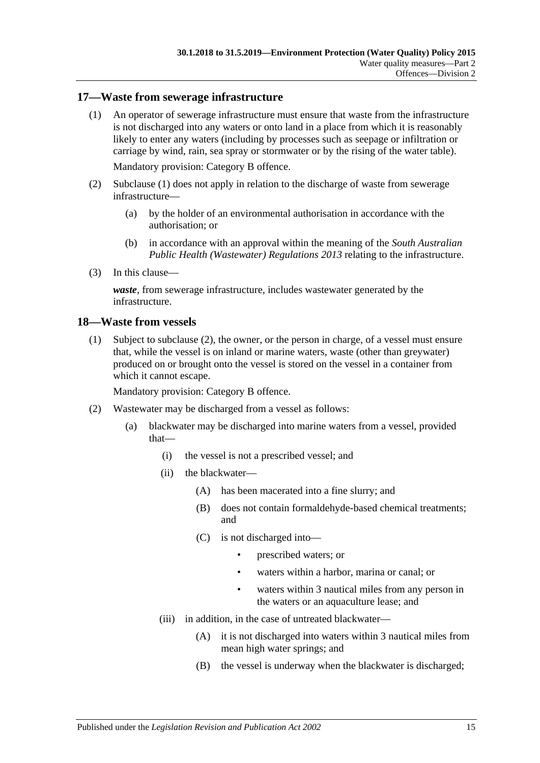#### <span id="page-14-2"></span><span id="page-14-0"></span>**17—Waste from sewerage infrastructure**

(1) An operator of sewerage infrastructure must ensure that waste from the infrastructure is not discharged into any waters or onto land in a place from which it is reasonably likely to enter any waters (including by processes such as seepage or infiltration or carriage by wind, rain, sea spray or stormwater or by the rising of the water table).

Mandatory provision: Category B offence.

- (2) [Subclause](#page-14-2) (1) does not apply in relation to the discharge of waste from sewerage infrastructure—
	- (a) by the holder of an environmental authorisation in accordance with the authorisation; or
	- (b) in accordance with an approval within the meaning of the *[South Australian](http://www.legislation.sa.gov.au/index.aspx?action=legref&type=subordleg&legtitle=South%20Australian%20Public%20Health%20(Wastewater)%20Regulations%202013)  [Public Health \(Wastewater\) Regulations](http://www.legislation.sa.gov.au/index.aspx?action=legref&type=subordleg&legtitle=South%20Australian%20Public%20Health%20(Wastewater)%20Regulations%202013) 2013* relating to the infrastructure.
- (3) In this clause—

*waste*, from sewerage infrastructure, includes wastewater generated by the infrastructure.

#### <span id="page-14-4"></span><span id="page-14-1"></span>**18—Waste from vessels**

(1) Subject to [subclause](#page-14-3) (2), the owner, or the person in charge, of a vessel must ensure that, while the vessel is on inland or marine waters, waste (other than greywater) produced on or brought onto the vessel is stored on the vessel in a container from which it cannot escape.

- <span id="page-14-3"></span>(2) Wastewater may be discharged from a vessel as follows:
	- (a) blackwater may be discharged into marine waters from a vessel, provided that—
		- (i) the vessel is not a prescribed vessel; and
		- (ii) the blackwater—
			- (A) has been macerated into a fine slurry; and
			- (B) does not contain formaldehyde-based chemical treatments; and
			- (C) is not discharged into—
				- prescribed waters; or
				- waters within a harbor, marina or canal; or
				- waters within 3 nautical miles from any person in the waters or an aquaculture lease; and
		- (iii) in addition, in the case of untreated blackwater—
			- (A) it is not discharged into waters within 3 nautical miles from mean high water springs; and
			- (B) the vessel is underway when the blackwater is discharged;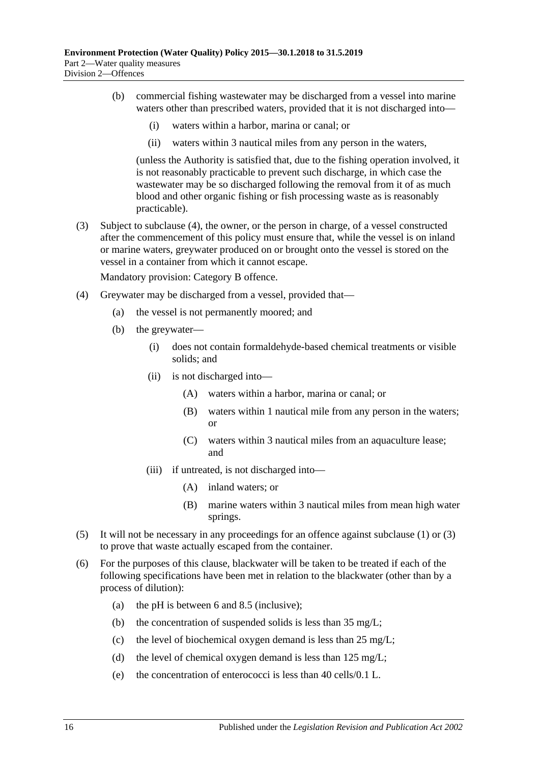- (b) commercial fishing wastewater may be discharged from a vessel into marine waters other than prescribed waters, provided that it is not discharged into—
	- (i) waters within a harbor, marina or canal; or
	- (ii) waters within 3 nautical miles from any person in the waters,

(unless the Authority is satisfied that, due to the fishing operation involved, it is not reasonably practicable to prevent such discharge, in which case the wastewater may be so discharged following the removal from it of as much blood and other organic fishing or fish processing waste as is reasonably practicable).

<span id="page-15-1"></span>(3) Subject to [subclause](#page-15-0) (4), the owner, or the person in charge, of a vessel constructed after the commencement of this policy must ensure that, while the vessel is on inland or marine waters, greywater produced on or brought onto the vessel is stored on the vessel in a container from which it cannot escape.

- <span id="page-15-0"></span>(4) Greywater may be discharged from a vessel, provided that—
	- (a) the vessel is not permanently moored; and
	- (b) the greywater—
		- (i) does not contain formaldehyde-based chemical treatments or visible solids; and
		- (ii) is not discharged into—
			- (A) waters within a harbor, marina or canal; or
			- (B) waters within 1 nautical mile from any person in the waters; or
			- (C) waters within 3 nautical miles from an aquaculture lease; and
		- (iii) if untreated, is not discharged into—
			- (A) inland waters; or
			- (B) marine waters within 3 nautical miles from mean high water springs.
- (5) It will not be necessary in any proceedings for an offence against [subclause](#page-14-4) (1) or [\(3\)](#page-15-1) to prove that waste actually escaped from the container.
- <span id="page-15-2"></span>(6) For the purposes of this clause, blackwater will be taken to be treated if each of the following specifications have been met in relation to the blackwater (other than by a process of dilution):
	- (a) the pH is between 6 and 8.5 (inclusive);
	- (b) the concentration of suspended solids is less than 35 mg/L;
	- (c) the level of biochemical oxygen demand is less than 25 mg/L;
	- (d) the level of chemical oxygen demand is less than 125 mg/L;
	- (e) the concentration of enterococci is less than 40 cells/0.1 L.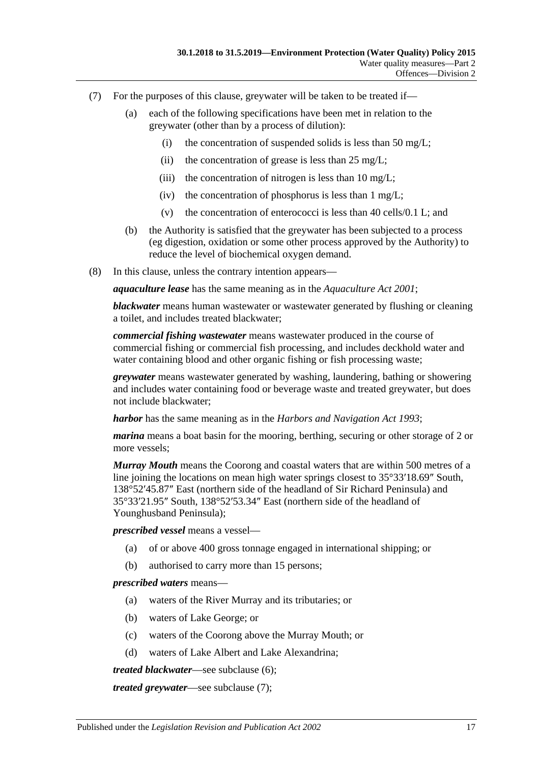- <span id="page-16-0"></span>(7) For the purposes of this clause, greywater will be taken to be treated if—
	- (a) each of the following specifications have been met in relation to the greywater (other than by a process of dilution):
		- (i) the concentration of suspended solids is less than 50 mg/L;
		- (ii) the concentration of grease is less than  $25 \text{ mg/L}$ ;
		- (iii) the concentration of nitrogen is less than  $10 \text{ mg/L}$ ;
		- (iv) the concentration of phosphorus is less than  $1 \text{ mg/L}$ ;
		- (v) the concentration of enterococci is less than 40 cells/0.1 L; and
	- (b) the Authority is satisfied that the greywater has been subjected to a process (eg digestion, oxidation or some other process approved by the Authority) to reduce the level of biochemical oxygen demand.
- (8) In this clause, unless the contrary intention appears—

*aquaculture lease* has the same meaning as in the *[Aquaculture Act](http://www.legislation.sa.gov.au/index.aspx?action=legref&type=act&legtitle=Aquaculture%20Act%202001) 2001*;

*blackwater* means human wastewater or wastewater generated by flushing or cleaning a toilet, and includes treated blackwater;

*commercial fishing wastewater* means wastewater produced in the course of commercial fishing or commercial fish processing, and includes deckhold water and water containing blood and other organic fishing or fish processing waste;

*greywater* means wastewater generated by washing, laundering, bathing or showering and includes water containing food or beverage waste and treated greywater, but does not include blackwater;

*harbor* has the same meaning as in the *[Harbors and Navigation Act](http://www.legislation.sa.gov.au/index.aspx?action=legref&type=act&legtitle=Harbors%20and%20Navigation%20Act%201993) 1993*;

*marina* means a boat basin for the mooring, berthing, securing or other storage of 2 or more vessels;

*Murray Mouth* means the Coorong and coastal waters that are within 500 metres of a line joining the locations on mean high water springs closest to 35°33′18.69″ South, 138°52′45.87″ East (northern side of the headland of Sir Richard Peninsula) and 35°33′21.95″ South, 138°52′53.34″ East (northern side of the headland of Younghusband Peninsula);

*prescribed vessel* means a vessel—

- (a) of or above 400 gross tonnage engaged in international shipping; or
- (b) authorised to carry more than 15 persons;

*prescribed waters* means—

- (a) waters of the River Murray and its tributaries; or
- (b) waters of Lake George; or
- (c) waters of the Coorong above the Murray Mouth; or
- (d) waters of Lake Albert and Lake Alexandrina;

*treated blackwater*—see [subclause](#page-15-2) (6);

*treated greywater*—see [subclause](#page-16-0) (7);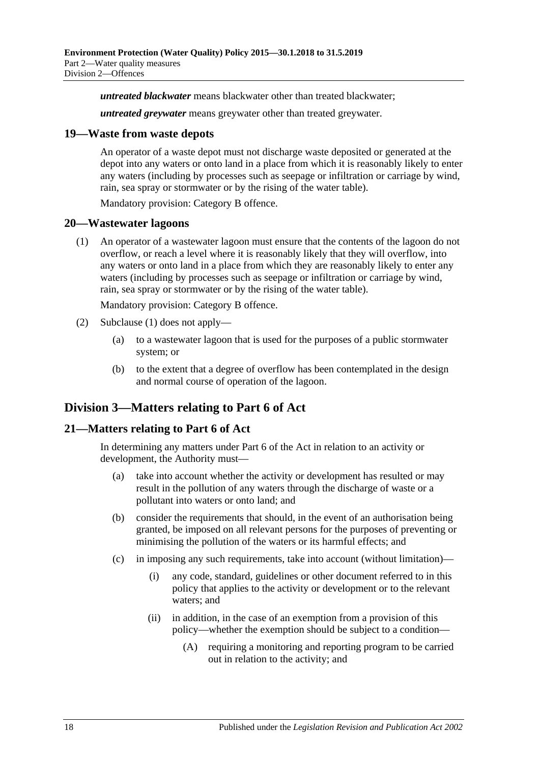*untreated blackwater* means blackwater other than treated blackwater;

*untreated greywater* means greywater other than treated greywater.

#### <span id="page-17-0"></span>**19—Waste from waste depots**

An operator of a waste depot must not discharge waste deposited or generated at the depot into any waters or onto land in a place from which it is reasonably likely to enter any waters (including by processes such as seepage or infiltration or carriage by wind, rain, sea spray or stormwater or by the rising of the water table).

Mandatory provision: Category B offence.

#### <span id="page-17-4"></span><span id="page-17-1"></span>**20—Wastewater lagoons**

(1) An operator of a wastewater lagoon must ensure that the contents of the lagoon do not overflow, or reach a level where it is reasonably likely that they will overflow, into any waters or onto land in a place from which they are reasonably likely to enter any waters (including by processes such as seepage or infiltration or carriage by wind, rain, sea spray or stormwater or by the rising of the water table).

Mandatory provision: Category B offence.

- (2) [Subclause](#page-17-4) (1) does not apply—
	- (a) to a wastewater lagoon that is used for the purposes of a public stormwater system; or
	- (b) to the extent that a degree of overflow has been contemplated in the design and normal course of operation of the lagoon.

# <span id="page-17-2"></span>**Division 3—Matters relating to Part 6 of Act**

#### <span id="page-17-3"></span>**21—Matters relating to Part 6 of Act**

In determining any matters under Part 6 of the Act in relation to an activity or development, the Authority must—

- (a) take into account whether the activity or development has resulted or may result in the pollution of any waters through the discharge of waste or a pollutant into waters or onto land; and
- (b) consider the requirements that should, in the event of an authorisation being granted, be imposed on all relevant persons for the purposes of preventing or minimising the pollution of the waters or its harmful effects; and
- (c) in imposing any such requirements, take into account (without limitation)—
	- (i) any code, standard, guidelines or other document referred to in this policy that applies to the activity or development or to the relevant waters; and
	- (ii) in addition, in the case of an exemption from a provision of this policy—whether the exemption should be subject to a condition—
		- (A) requiring a monitoring and reporting program to be carried out in relation to the activity; and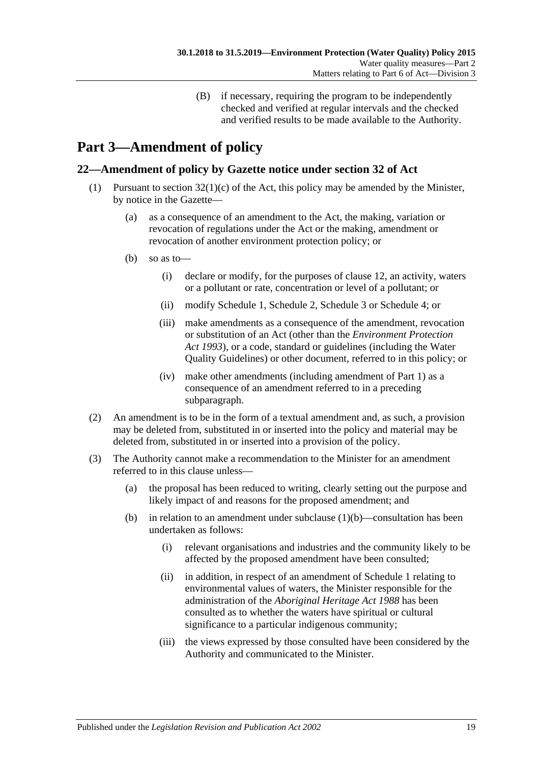(B) if necessary, requiring the program to be independently checked and verified at regular intervals and the checked and verified results to be made available to the Authority.

# <span id="page-18-0"></span>**Part 3—Amendment of policy**

### <span id="page-18-1"></span>**22—Amendment of policy by Gazette notice under section 32 of Act**

- <span id="page-18-2"></span>(1) Pursuant to section  $32(1)(c)$  of the Act, this policy may be amended by the Minister, by notice in the Gazette—
	- (a) as a consequence of an amendment to the Act, the making, variation or revocation of regulations under the Act or the making, amendment or revocation of another environment protection policy; or
	- (b) so as to—
		- (i) declare or modify, for the purposes of [clause](#page-9-1) 12, an activity, waters or a pollutant or rate, concentration or level of a pollutant; or
		- (ii) modify [Schedule](#page-19-0) 1, [Schedule](#page-20-1) 2, [Schedule](#page-22-0) 3 or [Schedule](#page-22-1) 4; or
		- (iii) make amendments as a consequence of the amendment, revocation or substitution of an Act (other than the *[Environment Protection](http://www.legislation.sa.gov.au/index.aspx?action=legref&type=act&legtitle=Environment%20Protection%20Act%201993)  Act [1993](http://www.legislation.sa.gov.au/index.aspx?action=legref&type=act&legtitle=Environment%20Protection%20Act%201993)*), or a code, standard or guidelines (including the Water Quality Guidelines) or other document, referred to in this policy; or
		- (iv) make other amendments (including amendment of [Part](#page-1-0) 1) as a consequence of an amendment referred to in a preceding subparagraph.
- (2) An amendment is to be in the form of a textual amendment and, as such, a provision may be deleted from, substituted in or inserted into the policy and material may be deleted from, substituted in or inserted into a provision of the policy.
- (3) The Authority cannot make a recommendation to the Minister for an amendment referred to in this clause unless—
	- (a) the proposal has been reduced to writing, clearly setting out the purpose and likely impact of and reasons for the proposed amendment; and
	- (b) in relation to an amendment under [subclause](#page-18-2)  $(1)(b)$ —consultation has been undertaken as follows:
		- (i) relevant organisations and industries and the community likely to be affected by the proposed amendment have been consulted;
		- (ii) in addition, in respect of an amendment of [Schedule](#page-19-0) 1 relating to environmental values of waters, the Minister responsible for the administration of the *[Aboriginal Heritage Act](http://www.legislation.sa.gov.au/index.aspx?action=legref&type=act&legtitle=Aboriginal%20Heritage%20Act%201988) 1988* has been consulted as to whether the waters have spiritual or cultural significance to a particular indigenous community;
		- (iii) the views expressed by those consulted have been considered by the Authority and communicated to the Minister.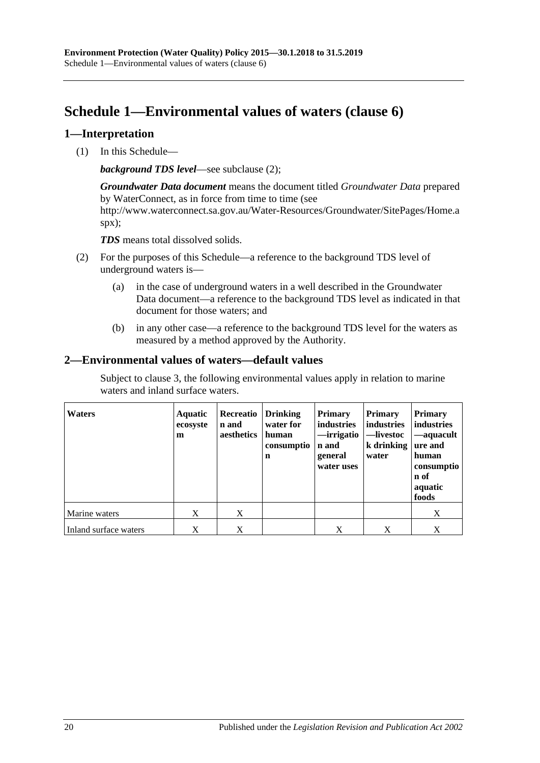# <span id="page-19-0"></span>**Schedule 1—Environmental values of waters [\(clause](#page-5-2) 6)**

#### <span id="page-19-1"></span>**1—Interpretation**

(1) In this Schedule—

*background TDS level*—see [subclause](#page-19-3) (2);

*Groundwater Data document* means the document titled *Groundwater Data* prepared by WaterConnect, as in force from time to time (see http://www.waterconnect.sa.gov.au/Water-Resources/Groundwater/SitePages/Home.a spx);

*TDS* means total dissolved solids.

- <span id="page-19-3"></span>(2) For the purposes of this Schedule—a reference to the background TDS level of underground waters is—
	- (a) in the case of underground waters in a well described in the Groundwater Data document—a reference to the background TDS level as indicated in that document for those waters; and
	- (b) in any other case—a reference to the background TDS level for the waters as measured by a method approved by the Authority.

### <span id="page-19-2"></span>**2—Environmental values of waters—default values**

Subject to [clause](#page-20-0) 3, the following environmental values apply in relation to marine waters and inland surface waters.

| <b>Waters</b>         | <b>Aquatic</b><br>ecosyste<br>m | Recreatio<br>n and<br>aesthetics | <b>Drinking</b><br>water for<br>human<br>consumptio<br>$\mathbf n$ | <b>Primary</b><br><b>industries</b><br>—irrigatio<br>n and<br>general<br>water uses | <b>Primary</b><br>industries<br>—livestoc<br>k drinking   ure and<br>water | <b>Primary</b><br>industries<br>—aquacult<br>human<br>consumptio<br>n of<br>aquatic<br>foods |
|-----------------------|---------------------------------|----------------------------------|--------------------------------------------------------------------|-------------------------------------------------------------------------------------|----------------------------------------------------------------------------|----------------------------------------------------------------------------------------------|
| Marine waters         | X                               | X                                |                                                                    |                                                                                     |                                                                            | X                                                                                            |
| Inland surface waters | X                               | X                                |                                                                    | X                                                                                   | X                                                                          | X                                                                                            |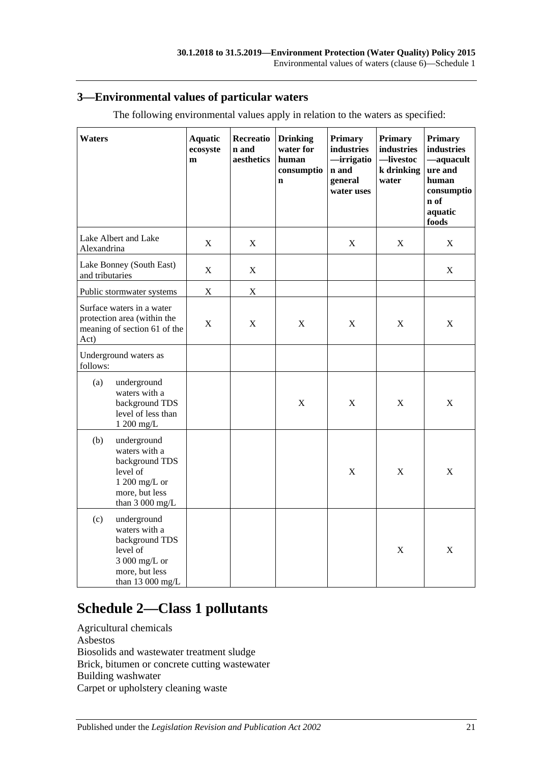### <span id="page-20-0"></span>**3—Environmental values of particular waters**

| <b>Waters</b>                                                                                                             | <b>Aquatic</b><br>ecosyste<br>m | <b>Recreatio</b><br>n and<br>aesthetics | <b>Drinking</b><br>water for<br>human<br>consumptio<br>$\mathbf n$ | <b>Primary</b><br>industries<br>irrigatio<br>n and<br>general<br>water uses | <b>Primary</b><br>industries<br>-livestoc<br>k drinking<br>water | <b>Primary</b><br>industries<br>-aquacult<br>ure and<br>human<br>consumptio<br>n of<br>aquatic<br>foods |
|---------------------------------------------------------------------------------------------------------------------------|---------------------------------|-----------------------------------------|--------------------------------------------------------------------|-----------------------------------------------------------------------------|------------------------------------------------------------------|---------------------------------------------------------------------------------------------------------|
| Lake Albert and Lake<br>Alexandrina                                                                                       | $\mathbf X$                     | X                                       |                                                                    | X                                                                           | X                                                                | X                                                                                                       |
| Lake Bonney (South East)<br>and tributaries                                                                               | X                               | X                                       |                                                                    |                                                                             |                                                                  | $\mathbf X$                                                                                             |
| Public stormwater systems                                                                                                 | $\mathbf X$                     | X                                       |                                                                    |                                                                             |                                                                  |                                                                                                         |
| Surface waters in a water<br>protection area (within the<br>meaning of section 61 of the<br>Act)                          | $\mathbf X$                     | $\mathbf X$                             | $\boldsymbol{\mathrm{X}}$                                          | $\mathbf X$                                                                 | $\mathbf X$                                                      | X                                                                                                       |
| Underground waters as<br>follows:                                                                                         |                                 |                                         |                                                                    |                                                                             |                                                                  |                                                                                                         |
| underground<br>(a)<br>waters with a<br>background TDS<br>level of less than<br>1 200 mg/L                                 |                                 |                                         | $\mathbf X$                                                        | $\mathbf X$                                                                 | X                                                                | X                                                                                                       |
| (b)<br>underground<br>waters with a<br>background TDS<br>level of<br>$1200$ mg/L or<br>more, but less<br>than $3000$ mg/L |                                 |                                         |                                                                    | $\mathbf X$                                                                 | X                                                                | X                                                                                                       |
| (c)<br>underground<br>waters with a<br>background TDS<br>level of<br>3 000 mg/L or<br>more, but less<br>than $13000$ mg/L |                                 |                                         |                                                                    |                                                                             | $\mathbf X$                                                      | X                                                                                                       |

The following environmental values apply in relation to the waters as specified:

# <span id="page-20-1"></span>**Schedule 2—Class 1 pollutants**

| Agricultural chemicals                        |
|-----------------------------------------------|
| Asbestos                                      |
| Biosolids and wastewater treatment sludge     |
| Brick, bitumen or concrete cutting wastewater |
| Building washwater                            |
| Carpet or upholstery cleaning waste           |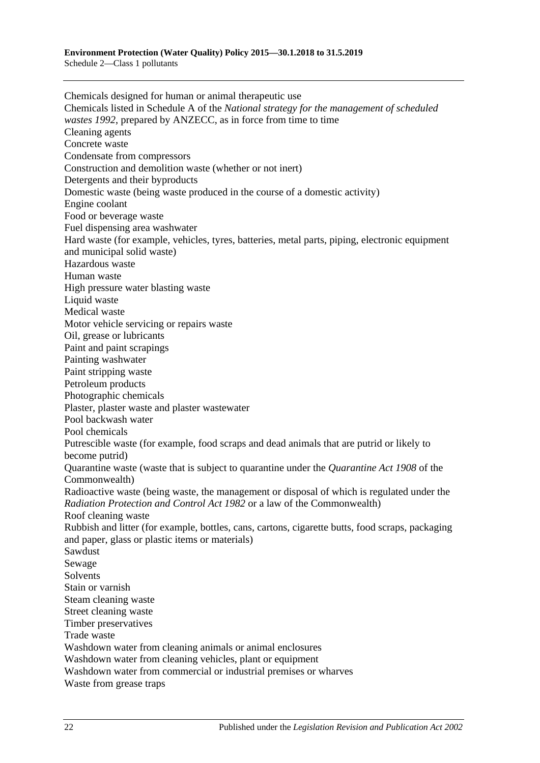Chemicals designed for human or animal therapeutic use Chemicals listed in Schedule A of the *National strategy for the management of scheduled wastes 1992*, prepared by ANZECC, as in force from time to time Cleaning agents Concrete waste Condensate from compressors Construction and demolition waste (whether or not inert) Detergents and their byproducts Domestic waste (being waste produced in the course of a domestic activity) Engine coolant Food or beverage waste Fuel dispensing area washwater Hard waste (for example, vehicles, tyres, batteries, metal parts, piping, electronic equipment and municipal solid waste) Hazardous waste Human waste High pressure water blasting waste Liquid waste Medical waste Motor vehicle servicing or repairs waste Oil, grease or lubricants Paint and paint scrapings Painting washwater Paint stripping waste Petroleum products Photographic chemicals Plaster, plaster waste and plaster wastewater Pool backwash water Pool chemicals Putrescible waste (for example, food scraps and dead animals that are putrid or likely to become putrid) Quarantine waste (waste that is subject to quarantine under the *Quarantine Act 1908* of the Commonwealth) Radioactive waste (being waste, the management or disposal of which is regulated under the *[Radiation Protection and Control Act](http://www.legislation.sa.gov.au/index.aspx?action=legref&type=act&legtitle=Radiation%20Protection%20and%20Control%20Act%201982) 1982* or a law of the Commonwealth) Roof cleaning waste Rubbish and litter (for example, bottles, cans, cartons, cigarette butts, food scraps, packaging and paper, glass or plastic items or materials) Sawdust Sewage Solvents Stain or varnish Steam cleaning waste Street cleaning waste Timber preservatives Trade waste Washdown water from cleaning animals or animal enclosures Washdown water from cleaning vehicles, plant or equipment Washdown water from commercial or industrial premises or wharves Waste from grease traps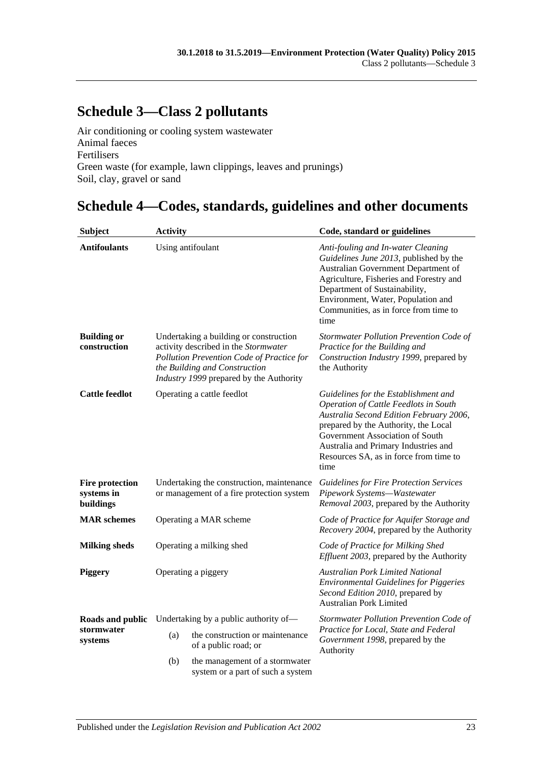# <span id="page-22-0"></span>**Schedule 3—Class 2 pollutants**

Air conditioning or cooling system wastewater Animal faeces Fertilisers Green waste (for example, lawn clippings, leaves and prunings) Soil, clay, gravel or sand

# <span id="page-22-1"></span>**Schedule 4—Codes, standards, guidelines and other documents**

| <b>Subject</b>                                    | <b>Activity</b>                                                                        |                                                                                                                                                                                                         | Code, standard or guidelines                                                                                                                                                                                                                                                                  |  |
|---------------------------------------------------|----------------------------------------------------------------------------------------|---------------------------------------------------------------------------------------------------------------------------------------------------------------------------------------------------------|-----------------------------------------------------------------------------------------------------------------------------------------------------------------------------------------------------------------------------------------------------------------------------------------------|--|
| <b>Antifoulants</b>                               |                                                                                        | Using antifoulant                                                                                                                                                                                       | Anti-fouling and In-water Cleaning<br>Guidelines June 2013, published by the<br>Australian Government Department of<br>Agriculture, Fisheries and Forestry and<br>Department of Sustainability,<br>Environment, Water, Population and<br>Communities, as in force from time to<br>time        |  |
| <b>Building or</b><br>construction                |                                                                                        | Undertaking a building or construction<br>activity described in the Stormwater<br>Pollution Prevention Code of Practice for<br>the Building and Construction<br>Industry 1999 prepared by the Authority | Stormwater Pollution Prevention Code of<br>Practice for the Building and<br>Construction Industry 1999, prepared by<br>the Authority                                                                                                                                                          |  |
| <b>Cattle feedlot</b>                             |                                                                                        | Operating a cattle feedlot                                                                                                                                                                              | Guidelines for the Establishment and<br>Operation of Cattle Feedlots in South<br>Australia Second Edition February 2006,<br>prepared by the Authority, the Local<br>Government Association of South<br>Australia and Primary Industries and<br>Resources SA, as in force from time to<br>time |  |
| <b>Fire protection</b><br>systems in<br>buildings | Undertaking the construction, maintenance<br>or management of a fire protection system |                                                                                                                                                                                                         | <b>Guidelines for Fire Protection Services</b><br>Pipework Systems-Wastewater<br>Removal 2003, prepared by the Authority                                                                                                                                                                      |  |
| <b>MAR</b> schemes                                | Operating a MAR scheme                                                                 |                                                                                                                                                                                                         | Code of Practice for Aquifer Storage and<br>Recovery 2004, prepared by the Authority                                                                                                                                                                                                          |  |
| <b>Milking sheds</b>                              | Operating a milking shed                                                               |                                                                                                                                                                                                         | Code of Practice for Milking Shed<br>Effluent 2003, prepared by the Authority                                                                                                                                                                                                                 |  |
| <b>Piggery</b>                                    | Operating a piggery                                                                    |                                                                                                                                                                                                         | <b>Australian Pork Limited National</b><br><b>Environmental Guidelines for Piggeries</b><br>Second Edition 2010, prepared by<br><b>Australian Pork Limited</b>                                                                                                                                |  |
| Roads and public<br>stormwater<br>systems         |                                                                                        | Undertaking by a public authority of—                                                                                                                                                                   | Stormwater Pollution Prevention Code of                                                                                                                                                                                                                                                       |  |
|                                                   | (a)                                                                                    | the construction or maintenance<br>of a public road; or                                                                                                                                                 | Practice for Local, State and Federal<br>Government 1998, prepared by the<br>Authority                                                                                                                                                                                                        |  |
|                                                   | (b)                                                                                    | the management of a stormwater<br>system or a part of such a system                                                                                                                                     |                                                                                                                                                                                                                                                                                               |  |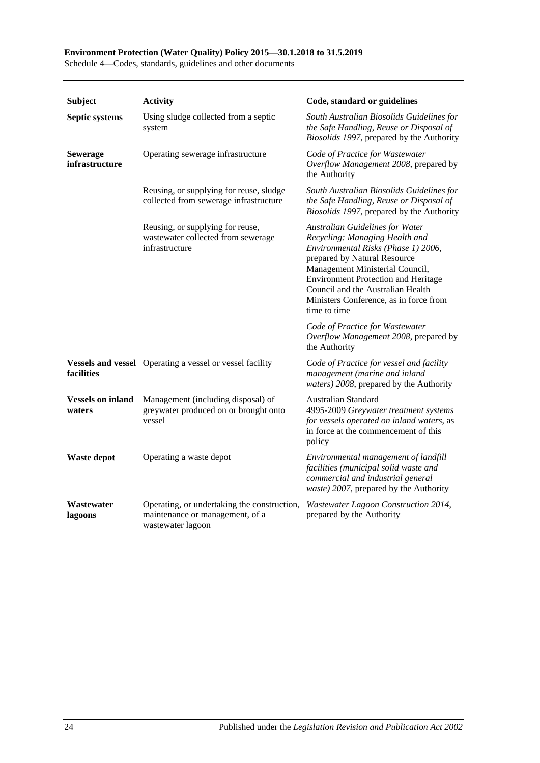#### **Subject Activity Code, standard or guidelines Septic systems** Using sludge collected from a septic system *South Australian Biosolids Guidelines for the Safe Handling, Reuse or Disposal of Biosolids 1997*, prepared by the Authority **Sewerage infrastructure** Operating sewerage infrastructure *Code of Practice for Wastewater Overflow Management 2008*, prepared by the Authority Reusing, or supplying for reuse, sludge collected from sewerage infrastructure *South Australian Biosolids Guidelines for the Safe Handling, Reuse or Disposal of Biosolids 1997*, prepared by the Authority Reusing, or supplying for reuse, wastewater collected from sewerage infrastructure *Australian Guidelines for Water Recycling: Managing Health and Environmental Risks (Phase 1) 2006*, prepared by Natural Resource Management Ministerial Council, Environment Protection and Heritage Council and the Australian Health Ministers Conference, as in force from time to time *Code of Practice for Wastewater Overflow Management 2008*, prepared by the Authority **Vessels and vessel** Operating a vessel or vessel facility **facilities** Code of Practice for vessel and facility *management (marine and inland waters) 2008*, prepared by the Authority **Vessels on inland**  Management (including disposal) of **waters** greywater produced on or brought onto vessel Australian Standard 4995-2009 *Greywater treatment systems for vessels operated on inland waters*, as in force at the commencement of this policy **Waste depot** Operating a waste depot *Environmental management of landfill facilities (municipal solid waste and commercial and industrial general waste) 2007*, prepared by the Authority **Wastewater lagoons** Operating, or undertaking the construction, maintenance or management, of a wastewater lagoon *Wastewater Lagoon Construction 2014*, prepared by the Authority

#### **Environment Protection (Water Quality) Policy 2015—30.1.2018 to 31.5.2019**

Schedule 4—Codes, standards, guidelines and other documents